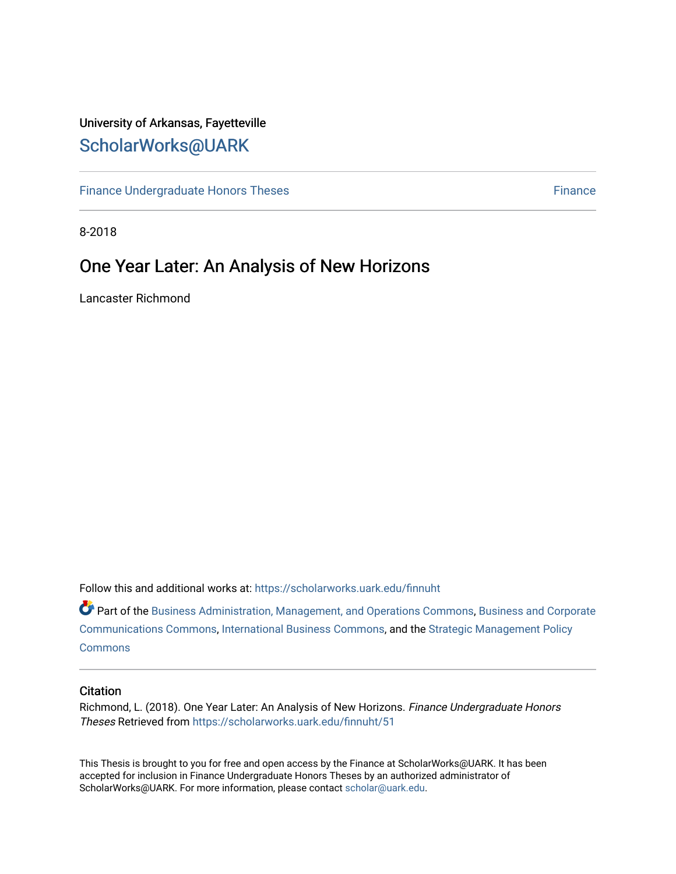# University of Arkansas, Fayetteville [ScholarWorks@UARK](https://scholarworks.uark.edu/)

[Finance Undergraduate Honors Theses](https://scholarworks.uark.edu/finnuht) **[Finance](https://scholarworks.uark.edu/finn) Executes** Finance Finance

8-2018

# One Year Later: An Analysis of New Horizons

Lancaster Richmond

Follow this and additional works at: [https://scholarworks.uark.edu/finnuht](https://scholarworks.uark.edu/finnuht?utm_source=scholarworks.uark.edu%2Ffinnuht%2F51&utm_medium=PDF&utm_campaign=PDFCoverPages)

Part of the [Business Administration, Management, and Operations Commons](http://network.bepress.com/hgg/discipline/623?utm_source=scholarworks.uark.edu%2Ffinnuht%2F51&utm_medium=PDF&utm_campaign=PDFCoverPages), Business and Corporate [Communications Commons,](http://network.bepress.com/hgg/discipline/627?utm_source=scholarworks.uark.edu%2Ffinnuht%2F51&utm_medium=PDF&utm_campaign=PDFCoverPages) [International Business Commons](http://network.bepress.com/hgg/discipline/634?utm_source=scholarworks.uark.edu%2Ffinnuht%2F51&utm_medium=PDF&utm_campaign=PDFCoverPages), and the [Strategic Management Policy](http://network.bepress.com/hgg/discipline/642?utm_source=scholarworks.uark.edu%2Ffinnuht%2F51&utm_medium=PDF&utm_campaign=PDFCoverPages)  **[Commons](http://network.bepress.com/hgg/discipline/642?utm_source=scholarworks.uark.edu%2Ffinnuht%2F51&utm_medium=PDF&utm_campaign=PDFCoverPages)** 

### **Citation**

Richmond, L. (2018). One Year Later: An Analysis of New Horizons. Finance Undergraduate Honors Theses Retrieved from [https://scholarworks.uark.edu/finnuht/51](https://scholarworks.uark.edu/finnuht/51?utm_source=scholarworks.uark.edu%2Ffinnuht%2F51&utm_medium=PDF&utm_campaign=PDFCoverPages) 

This Thesis is brought to you for free and open access by the Finance at ScholarWorks@UARK. It has been accepted for inclusion in Finance Undergraduate Honors Theses by an authorized administrator of ScholarWorks@UARK. For more information, please contact [scholar@uark.edu](mailto:scholar@uark.edu).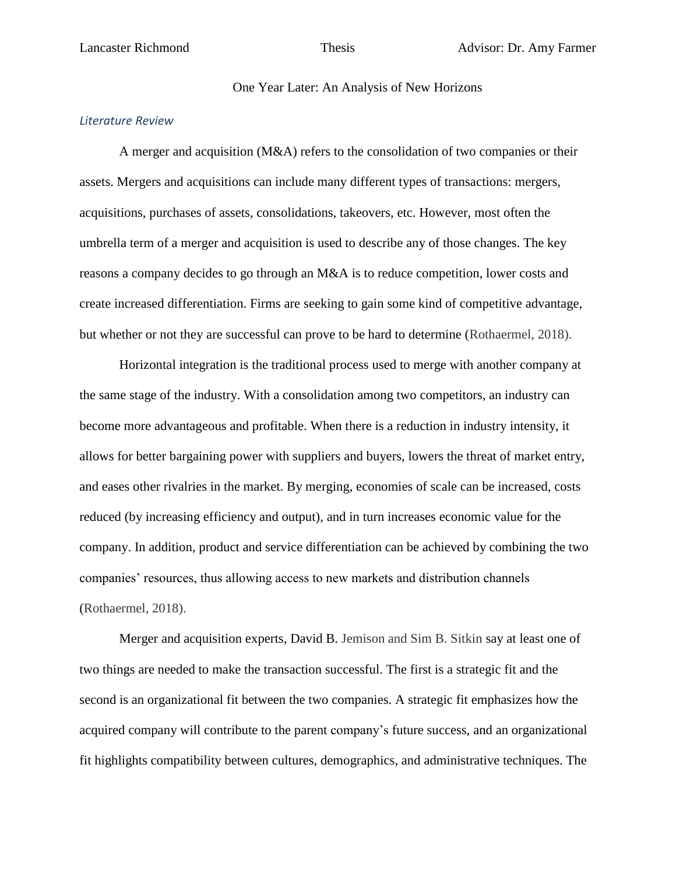## One Year Later: An Analysis of New Horizons

# *Literature Review*

A merger and acquisition (M&A) refers to the consolidation of two companies or their assets. Mergers and acquisitions can include many different types of transactions: mergers, acquisitions, purchases of assets, consolidations, takeovers, etc. However, most often the umbrella term of a merger and acquisition is used to describe any of those changes. The key reasons a company decides to go through an M&A is to reduce competition, lower costs and create increased differentiation. Firms are seeking to gain some kind of competitive advantage, but whether or not they are successful can prove to be hard to determine (Rothaermel, 2018).

Horizontal integration is the traditional process used to merge with another company at the same stage of the industry. With a consolidation among two competitors, an industry can become more advantageous and profitable. When there is a reduction in industry intensity, it allows for better bargaining power with suppliers and buyers, lowers the threat of market entry, and eases other rivalries in the market. By merging, economies of scale can be increased, costs reduced (by increasing efficiency and output), and in turn increases economic value for the company. In addition, product and service differentiation can be achieved by combining the two companies' resources, thus allowing access to new markets and distribution channels (Rothaermel, 2018).

Merger and acquisition experts, David B. Jemison and Sim B. Sitkin say at least one of two things are needed to make the transaction successful. The first is a strategic fit and the second is an organizational fit between the two companies. A strategic fit emphasizes how the acquired company will contribute to the parent company's future success, and an organizational fit highlights compatibility between cultures, demographics, and administrative techniques. The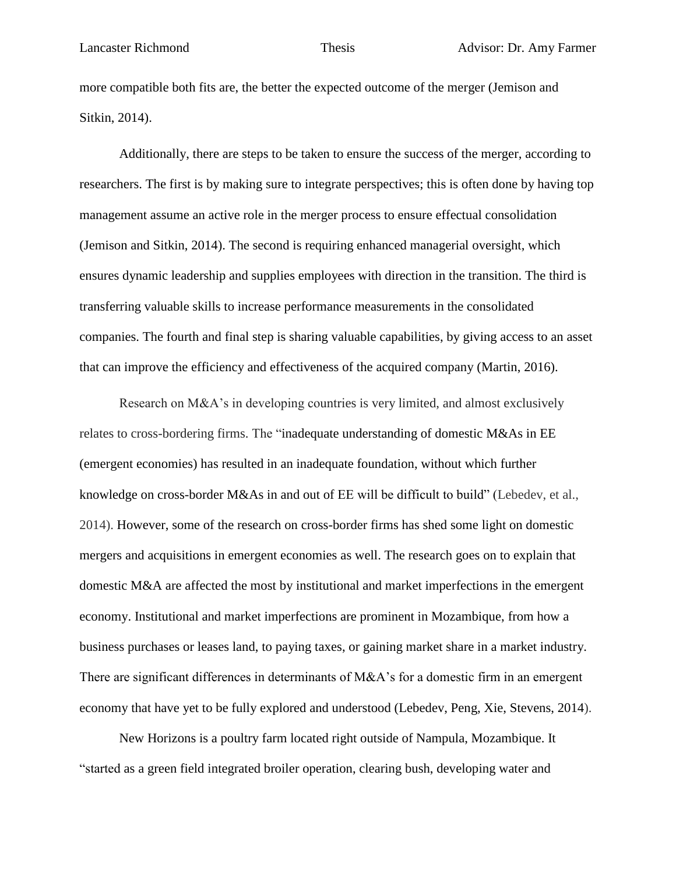more compatible both fits are, the better the expected outcome of the merger (Jemison and Sitkin, 2014).

Additionally, there are steps to be taken to ensure the success of the merger, according to researchers. The first is by making sure to integrate perspectives; this is often done by having top management assume an active role in the merger process to ensure effectual consolidation (Jemison and Sitkin, 2014). The second is requiring enhanced managerial oversight, which ensures dynamic leadership and supplies employees with direction in the transition. The third is transferring valuable skills to increase performance measurements in the consolidated companies. The fourth and final step is sharing valuable capabilities, by giving access to an asset that can improve the efficiency and effectiveness of the acquired company (Martin, 2016).

Research on M&A's in developing countries is very limited, and almost exclusively relates to cross-bordering firms. The "inadequate understanding of domestic M&As in EE (emergent economies) has resulted in an inadequate foundation, without which further knowledge on cross-border M&As in and out of EE will be difficult to build" (Lebedev, et al., 2014). However, some of the research on cross-border firms has shed some light on domestic mergers and acquisitions in emergent economies as well. The research goes on to explain that domestic M&A are affected the most by institutional and market imperfections in the emergent economy. Institutional and market imperfections are prominent in Mozambique, from how a business purchases or leases land, to paying taxes, or gaining market share in a market industry. There are significant differences in determinants of M&A's for a domestic firm in an emergent economy that have yet to be fully explored and understood (Lebedev, Peng, Xie, Stevens, 2014).

New Horizons is a poultry farm located right outside of Nampula, Mozambique. It "started as a green field integrated broiler operation, clearing bush, developing water and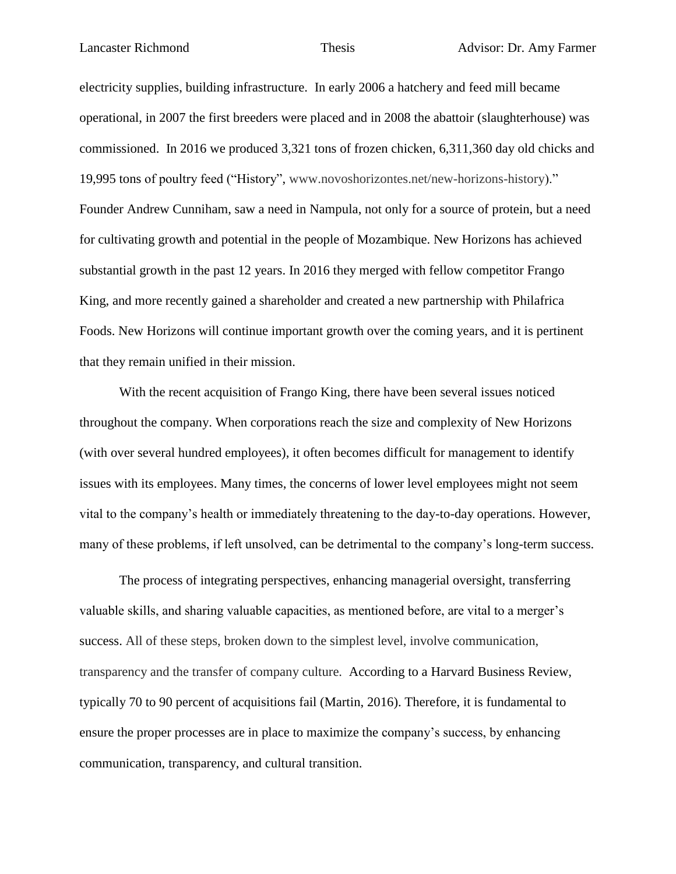electricity supplies, building infrastructure. In early 2006 a hatchery and feed mill became operational, in 2007 the first breeders were placed and in 2008 the abattoir (slaughterhouse) was commissioned. In 2016 we produced 3,321 tons of frozen chicken, 6,311,360 day old chicks and 19,995 tons of poultry feed ("History", www.novoshorizontes.net/new-horizons-history)." Founder Andrew Cunniham, saw a need in Nampula, not only for a source of protein, but a need for cultivating growth and potential in the people of Mozambique. New Horizons has achieved substantial growth in the past 12 years. In 2016 they merged with fellow competitor Frango King, and more recently gained a shareholder and created a new partnership with Philafrica Foods. New Horizons will continue important growth over the coming years, and it is pertinent that they remain unified in their mission.

With the recent acquisition of Frango King, there have been several issues noticed throughout the company. When corporations reach the size and complexity of New Horizons (with over several hundred employees), it often becomes difficult for management to identify issues with its employees. Many times, the concerns of lower level employees might not seem vital to the company's health or immediately threatening to the day-to-day operations. However, many of these problems, if left unsolved, can be detrimental to the company's long-term success.

The process of integrating perspectives, enhancing managerial oversight, transferring valuable skills, and sharing valuable capacities, as mentioned before, are vital to a merger's success. All of these steps, broken down to the simplest level, involve communication, transparency and the transfer of company culture. According to a Harvard Business Review, typically 70 to 90 percent of acquisitions fail (Martin, 2016). Therefore, it is fundamental to ensure the proper processes are in place to maximize the company's success, by enhancing communication, transparency, and cultural transition.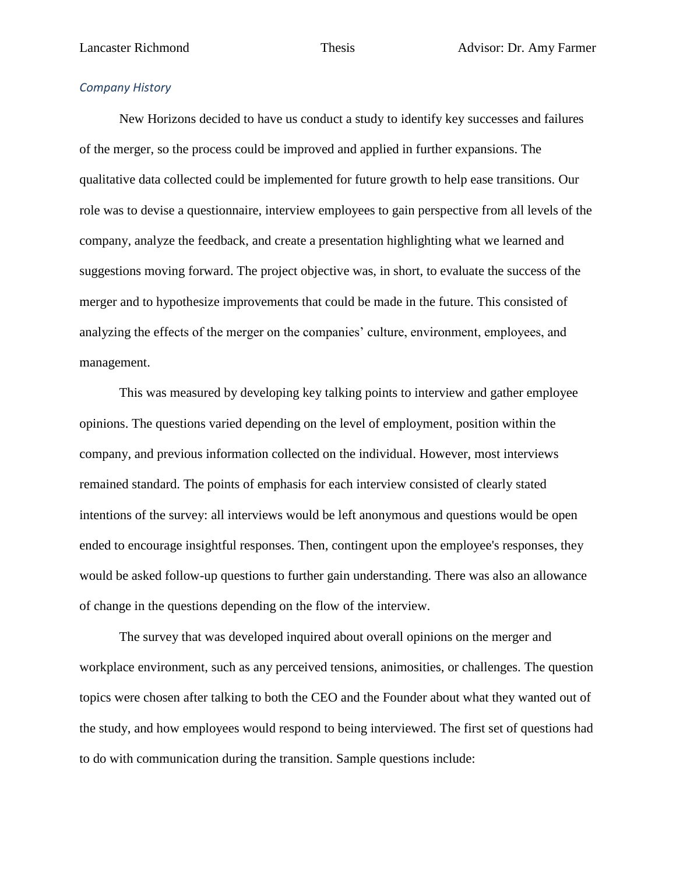# *Company History*

New Horizons decided to have us conduct a study to identify key successes and failures of the merger, so the process could be improved and applied in further expansions. The qualitative data collected could be implemented for future growth to help ease transitions. Our role was to devise a questionnaire, interview employees to gain perspective from all levels of the company, analyze the feedback, and create a presentation highlighting what we learned and suggestions moving forward. The project objective was, in short, to evaluate the success of the merger and to hypothesize improvements that could be made in the future. This consisted of analyzing the effects of the merger on the companies' culture, environment, employees, and management.

This was measured by developing key talking points to interview and gather employee opinions. The questions varied depending on the level of employment, position within the company, and previous information collected on the individual. However, most interviews remained standard. The points of emphasis for each interview consisted of clearly stated intentions of the survey: all interviews would be left anonymous and questions would be open ended to encourage insightful responses. Then, contingent upon the employee's responses, they would be asked follow-up questions to further gain understanding. There was also an allowance of change in the questions depending on the flow of the interview.

The survey that was developed inquired about overall opinions on the merger and workplace environment, such as any perceived tensions, animosities, or challenges. The question topics were chosen after talking to both the CEO and the Founder about what they wanted out of the study, and how employees would respond to being interviewed. The first set of questions had to do with communication during the transition. Sample questions include: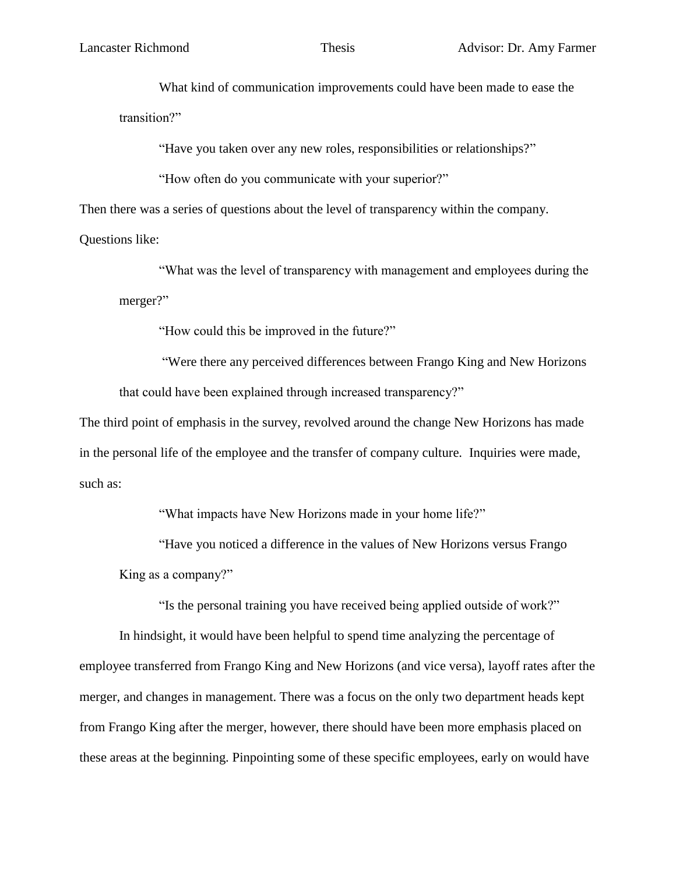What kind of communication improvements could have been made to ease the transition?"

"Have you taken over any new roles, responsibilities or relationships?"

"How often do you communicate with your superior?"

Then there was a series of questions about the level of transparency within the company.

Questions like:

"What was the level of transparency with management and employees during the merger?"

"How could this be improved in the future?"

"Were there any perceived differences between Frango King and New Horizons that could have been explained through increased transparency?"

The third point of emphasis in the survey, revolved around the change New Horizons has made in the personal life of the employee and the transfer of company culture. Inquiries were made, such as:

"What impacts have New Horizons made in your home life?"

"Have you noticed a difference in the values of New Horizons versus Frango King as a company?"

"Is the personal training you have received being applied outside of work?"

In hindsight, it would have been helpful to spend time analyzing the percentage of employee transferred from Frango King and New Horizons (and vice versa), layoff rates after the merger, and changes in management. There was a focus on the only two department heads kept from Frango King after the merger, however, there should have been more emphasis placed on these areas at the beginning. Pinpointing some of these specific employees, early on would have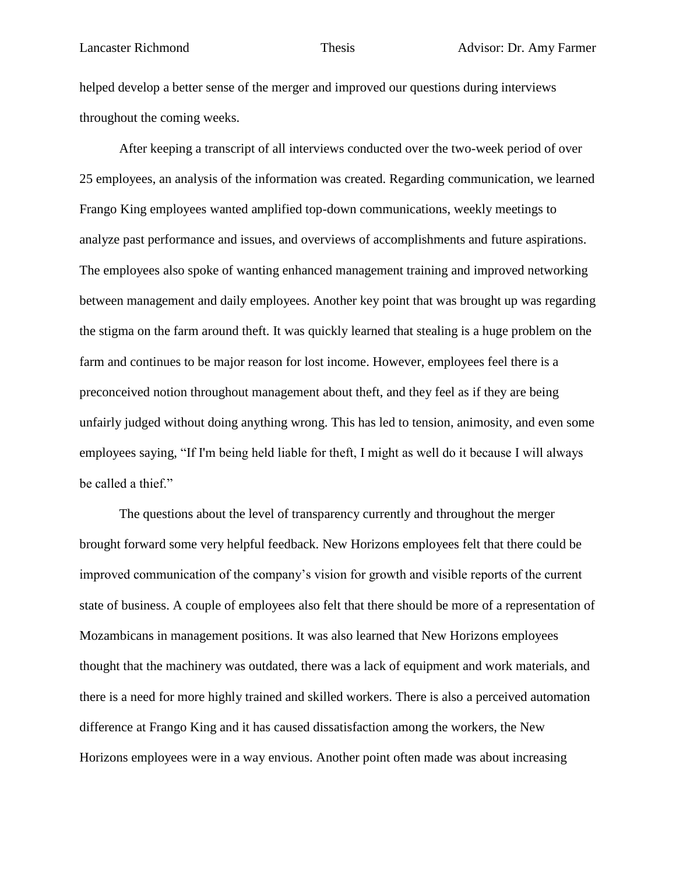helped develop a better sense of the merger and improved our questions during interviews throughout the coming weeks.

After keeping a transcript of all interviews conducted over the two-week period of over 25 employees, an analysis of the information was created. Regarding communication, we learned Frango King employees wanted amplified top-down communications, weekly meetings to analyze past performance and issues, and overviews of accomplishments and future aspirations. The employees also spoke of wanting enhanced management training and improved networking between management and daily employees. Another key point that was brought up was regarding the stigma on the farm around theft. It was quickly learned that stealing is a huge problem on the farm and continues to be major reason for lost income. However, employees feel there is a preconceived notion throughout management about theft, and they feel as if they are being unfairly judged without doing anything wrong. This has led to tension, animosity, and even some employees saying, "If I'm being held liable for theft, I might as well do it because I will always be called a thief."

The questions about the level of transparency currently and throughout the merger brought forward some very helpful feedback. New Horizons employees felt that there could be improved communication of the company's vision for growth and visible reports of the current state of business. A couple of employees also felt that there should be more of a representation of Mozambicans in management positions. It was also learned that New Horizons employees thought that the machinery was outdated, there was a lack of equipment and work materials, and there is a need for more highly trained and skilled workers. There is also a perceived automation difference at Frango King and it has caused dissatisfaction among the workers, the New Horizons employees were in a way envious. Another point often made was about increasing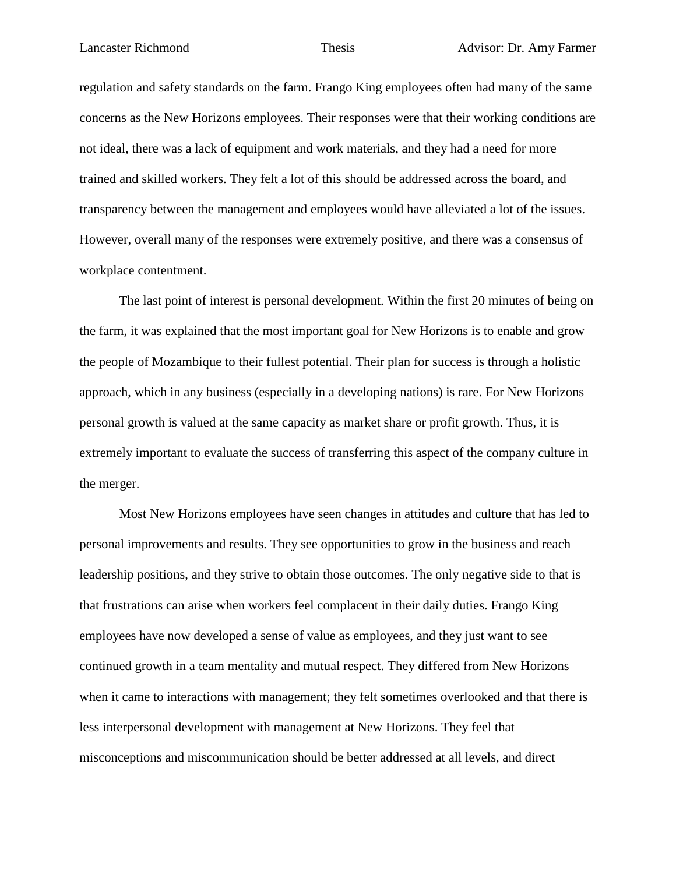regulation and safety standards on the farm. Frango King employees often had many of the same concerns as the New Horizons employees. Their responses were that their working conditions are not ideal, there was a lack of equipment and work materials, and they had a need for more trained and skilled workers. They felt a lot of this should be addressed across the board, and transparency between the management and employees would have alleviated a lot of the issues. However, overall many of the responses were extremely positive, and there was a consensus of workplace contentment.

The last point of interest is personal development. Within the first 20 minutes of being on the farm, it was explained that the most important goal for New Horizons is to enable and grow the people of Mozambique to their fullest potential. Their plan for success is through a holistic approach, which in any business (especially in a developing nations) is rare. For New Horizons personal growth is valued at the same capacity as market share or profit growth. Thus, it is extremely important to evaluate the success of transferring this aspect of the company culture in the merger.

Most New Horizons employees have seen changes in attitudes and culture that has led to personal improvements and results. They see opportunities to grow in the business and reach leadership positions, and they strive to obtain those outcomes. The only negative side to that is that frustrations can arise when workers feel complacent in their daily duties. Frango King employees have now developed a sense of value as employees, and they just want to see continued growth in a team mentality and mutual respect. They differed from New Horizons when it came to interactions with management; they felt sometimes overlooked and that there is less interpersonal development with management at New Horizons. They feel that misconceptions and miscommunication should be better addressed at all levels, and direct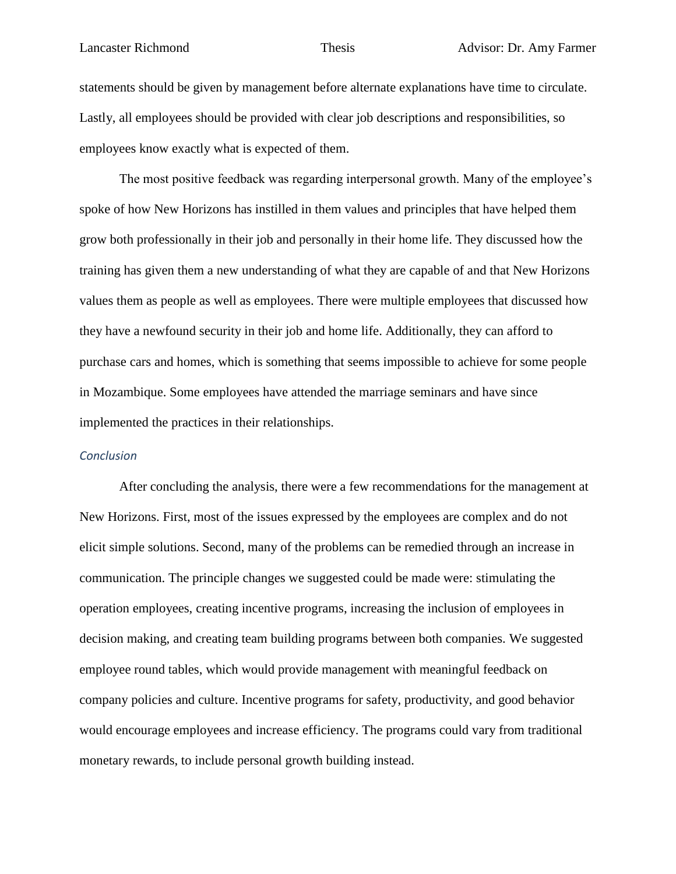statements should be given by management before alternate explanations have time to circulate. Lastly, all employees should be provided with clear job descriptions and responsibilities, so employees know exactly what is expected of them.

The most positive feedback was regarding interpersonal growth. Many of the employee's spoke of how New Horizons has instilled in them values and principles that have helped them grow both professionally in their job and personally in their home life. They discussed how the training has given them a new understanding of what they are capable of and that New Horizons values them as people as well as employees. There were multiple employees that discussed how they have a newfound security in their job and home life. Additionally, they can afford to purchase cars and homes, which is something that seems impossible to achieve for some people in Mozambique. Some employees have attended the marriage seminars and have since implemented the practices in their relationships.

# *Conclusion*

After concluding the analysis, there were a few recommendations for the management at New Horizons. First, most of the issues expressed by the employees are complex and do not elicit simple solutions. Second, many of the problems can be remedied through an increase in communication. The principle changes we suggested could be made were: stimulating the operation employees, creating incentive programs, increasing the inclusion of employees in decision making, and creating team building programs between both companies. We suggested employee round tables, which would provide management with meaningful feedback on company policies and culture. Incentive programs for safety, productivity, and good behavior would encourage employees and increase efficiency. The programs could vary from traditional monetary rewards, to include personal growth building instead.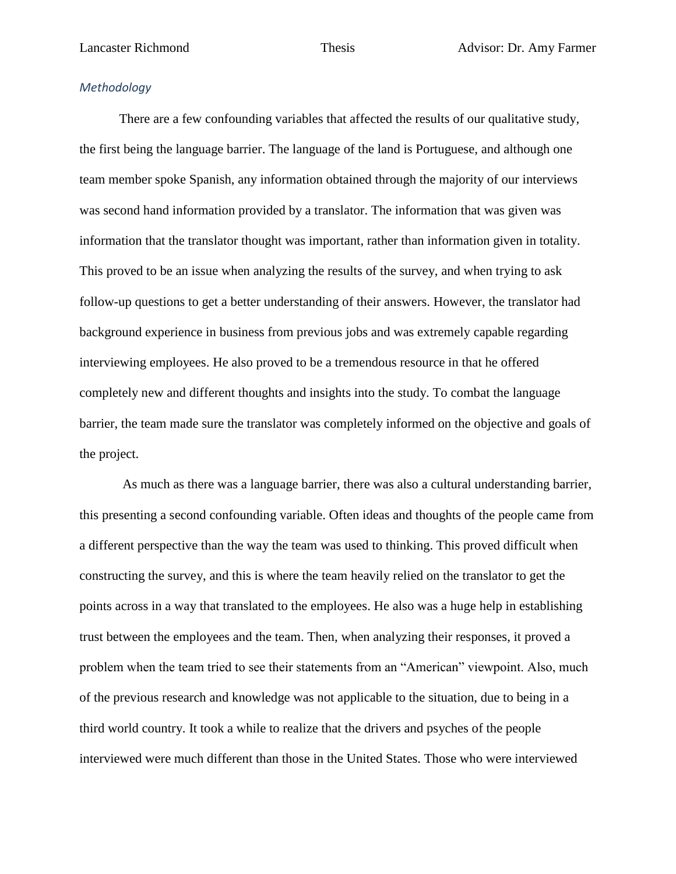# *Methodology*

There are a few confounding variables that affected the results of our qualitative study, the first being the language barrier. The language of the land is Portuguese, and although one team member spoke Spanish, any information obtained through the majority of our interviews was second hand information provided by a translator. The information that was given was information that the translator thought was important, rather than information given in totality. This proved to be an issue when analyzing the results of the survey, and when trying to ask follow-up questions to get a better understanding of their answers. However, the translator had background experience in business from previous jobs and was extremely capable regarding interviewing employees. He also proved to be a tremendous resource in that he offered completely new and different thoughts and insights into the study. To combat the language barrier, the team made sure the translator was completely informed on the objective and goals of the project.

As much as there was a language barrier, there was also a cultural understanding barrier, this presenting a second confounding variable. Often ideas and thoughts of the people came from a different perspective than the way the team was used to thinking. This proved difficult when constructing the survey, and this is where the team heavily relied on the translator to get the points across in a way that translated to the employees. He also was a huge help in establishing trust between the employees and the team. Then, when analyzing their responses, it proved a problem when the team tried to see their statements from an "American" viewpoint. Also, much of the previous research and knowledge was not applicable to the situation, due to being in a third world country. It took a while to realize that the drivers and psyches of the people interviewed were much different than those in the United States. Those who were interviewed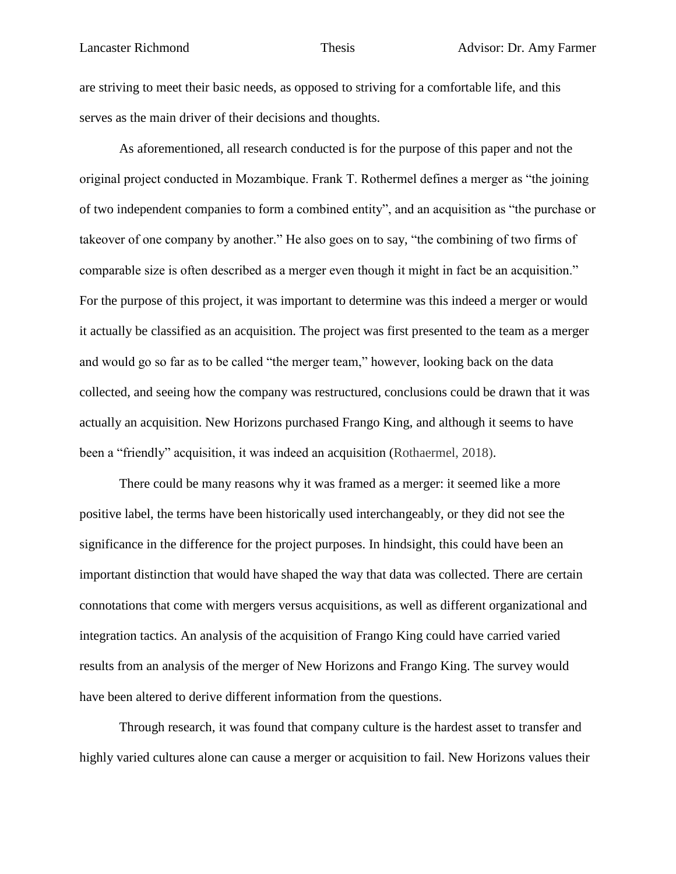are striving to meet their basic needs, as opposed to striving for a comfortable life, and this serves as the main driver of their decisions and thoughts.

As aforementioned, all research conducted is for the purpose of this paper and not the original project conducted in Mozambique. Frank T. Rothermel defines a merger as "the joining of two independent companies to form a combined entity", and an acquisition as "the purchase or takeover of one company by another." He also goes on to say, "the combining of two firms of comparable size is often described as a merger even though it might in fact be an acquisition." For the purpose of this project, it was important to determine was this indeed a merger or would it actually be classified as an acquisition. The project was first presented to the team as a merger and would go so far as to be called "the merger team," however, looking back on the data collected, and seeing how the company was restructured, conclusions could be drawn that it was actually an acquisition. New Horizons purchased Frango King, and although it seems to have been a "friendly" acquisition, it was indeed an acquisition (Rothaermel, 2018).

There could be many reasons why it was framed as a merger: it seemed like a more positive label, the terms have been historically used interchangeably, or they did not see the significance in the difference for the project purposes. In hindsight, this could have been an important distinction that would have shaped the way that data was collected. There are certain connotations that come with mergers versus acquisitions, as well as different organizational and integration tactics. An analysis of the acquisition of Frango King could have carried varied results from an analysis of the merger of New Horizons and Frango King. The survey would have been altered to derive different information from the questions.

Through research, it was found that company culture is the hardest asset to transfer and highly varied cultures alone can cause a merger or acquisition to fail. New Horizons values their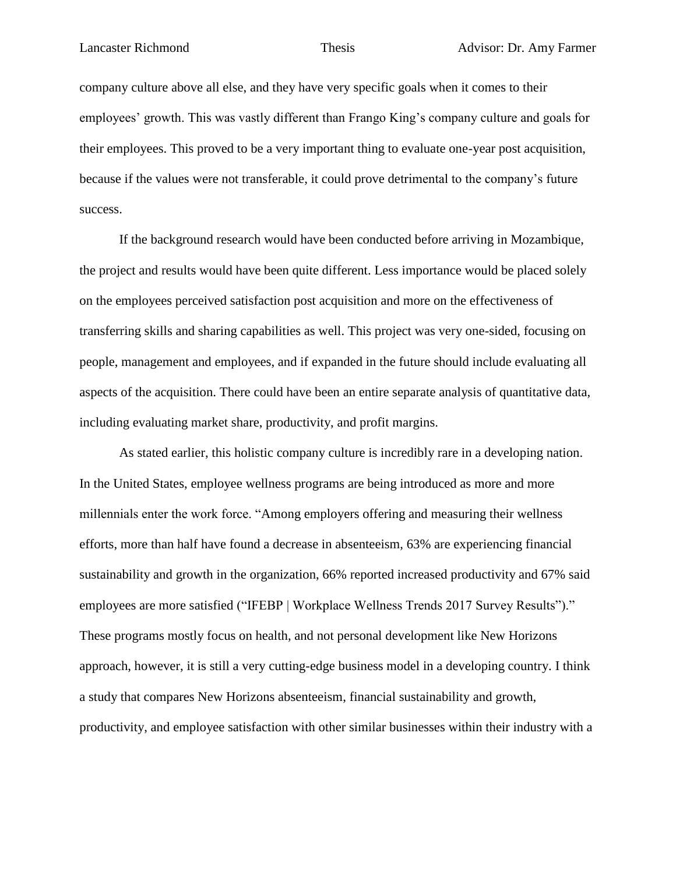company culture above all else, and they have very specific goals when it comes to their employees' growth. This was vastly different than Frango King's company culture and goals for their employees. This proved to be a very important thing to evaluate one-year post acquisition, because if the values were not transferable, it could prove detrimental to the company's future success.

If the background research would have been conducted before arriving in Mozambique, the project and results would have been quite different. Less importance would be placed solely on the employees perceived satisfaction post acquisition and more on the effectiveness of transferring skills and sharing capabilities as well. This project was very one-sided, focusing on people, management and employees, and if expanded in the future should include evaluating all aspects of the acquisition. There could have been an entire separate analysis of quantitative data, including evaluating market share, productivity, and profit margins.

As stated earlier, this holistic company culture is incredibly rare in a developing nation. In the United States, employee wellness programs are being introduced as more and more millennials enter the work force. "Among employers offering and measuring their wellness efforts, more than half have found a decrease in absenteeism, 63% are experiencing financial sustainability and growth in the organization, 66% reported increased productivity and 67% said employees are more satisfied ("IFEBP | Workplace Wellness Trends 2017 Survey Results")." These programs mostly focus on health, and not personal development like New Horizons approach, however, it is still a very cutting-edge business model in a developing country. I think a study that compares New Horizons absenteeism, financial sustainability and growth, productivity, and employee satisfaction with other similar businesses within their industry with a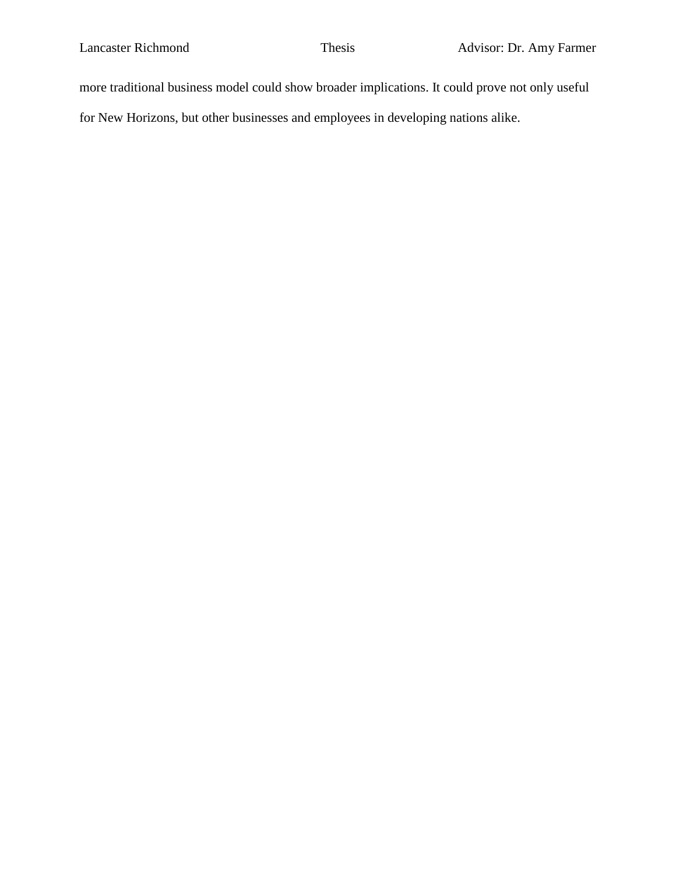more traditional business model could show broader implications. It could prove not only useful

for New Horizons, but other businesses and employees in developing nations alike.